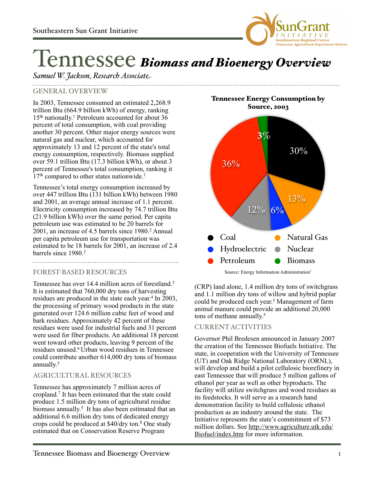

# Tennessee *Biomass and Bioenergy Overview*

# *Samuel W. Jackson, Research Associate*

### GENERAL OVERVIEW

In 2003, Tennessee consumed an estimated 2,268.9 trillion Btu (664.9 billion kWh) of energy, ranking 15th nationally. 1 Petroleum accounted for about 36 percent of total consumption, with coal providing another 30 percent. Other major energy sources were natural gas and nuclear, which accounted for approximately 13 and 12 percent of the state's total energy consumption, respectively. Biomass supplied over 59.1 trillion Btu (17.3 billion kWh), or about 3 percent of Tennessee's total consumption, ranking it  $17<sup>th</sup>$  compared to other states nationwide.<sup>1</sup>

Tennessee's total energy consumption increased by over 447 trillion Btu (131 billion kWh) between 1980 and 2001, an average annual increase of 1.1 percent. Electricity consumption increased by 74.7 trillion Btu (21.9 billion kWh) over the same period. Per capita petroleum use was estimated to be 20 barrels for 2001, an increase of 4.5 barrels since 1980.2 Annual per capita petroleum use for transportation was estimated to be 18 barrels for 2001, an increase of 2.4 barrels since 1980.2

#### FOREST-BASED RESOURCES

Tennessee has over 14.4 million acres of forestland.<sup>3</sup> It is estimated that 760,000 dry tons of harvesting residues are produced in the state each year. 4 In 2003, the processing of primary wood products in the state generated over 124.6 million cubic feet of wood and bark residues. Approximately 42 percent of these residues were used for industrial fuels and 31 percent were used for fiber products. An additional 18 percent went toward other products, leaving 9 percent of the residues unused.6 Urban wood residues in Tennessee could contribute another 614,000 dry tons of biomass annually. 5

## AGRICULTURAL RESOURCES

Tennessee has approximately 7 million acres of cropland.7 It has been estimated that the state could produce 1.5 million dry tons of agricultural residue biomass annually. 5 It has also been estimated that an additional 6.6 million dry tons of dedicated energy crops could be produced at \$40/dry ton.8 One study estimated that on Conservation Reserve Program

Tennessee Energy Consumption by Source, 2003



Source: Energy Information Administration<sup>1</sup>

(CRP) land alone, 1.4 million dry tons of switchgrass and 1.1 million dry tons of willow and hybrid poplar could be produced each year. 5 Management of farm animal manure could provide an additional 20,000 tons of methane annually. 5

#### CURRENT ACTIVITIES

Governor Phil Bredesen announced in January 2007 the creation of the Tennessee Biofuels Initiative. The state, in cooperation with the University of Tennessee (UT) and Oak Ridge National Laboratory (ORNL), will develop and build a pilot cellulosic biorefinery in east Tennessee that will produce 5 million gallons of ethanol per year as well as other byproducts. The facility will utilize switchgrass and wood residues as its feedstocks. It will serve as a research hand demonstration facility to build cellulosic ethanol production as an industry around the state. The Initiative represents the state's commitment of \$73 million dollars. See [http://www.agriculture.utk.edu/](http://www.agriculture.utk.edu/Biofuel/index.htm) [Biofuel/index.htm](http://www.agriculture.utk.edu/Biofuel/index.htm) for more information.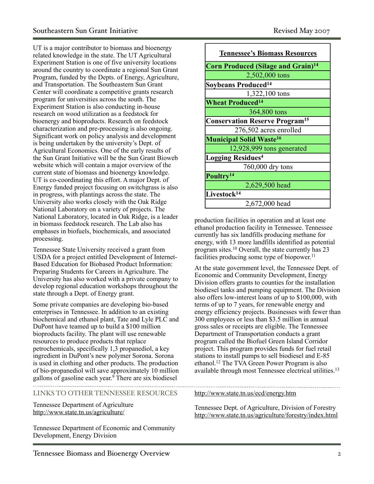UT is a major contributor to biomass and bioenergy related knowledge in the state. The UT Agricultural Experiment Station is one of five university locations around the country to coordinate a regional Sun Grant Program, funded by the Depts. of Energy, Agriculture, and Transportation. The Southeastern Sun Grant Center will coordinate a competitive grants research program for universities across the south. The Experiment Station is also conducting in-house research on wood utilization as a feedstock for bioenergy and bioproducts. Research on feedstock characterization and pre-processing is also ongoing. Significant work on policy analysis and development is being undertaken by the university's Dept. of Agricultural Economics. One of the early results of the Sun Grant Initiative will be the Sun Grant Bioweb website which will contain a major overview of the current state of biomass and bioenergy knowledge. UT is co-coordinating this effort. A major Dept. of Energy funded project focusing on switchgrass is also in progress, with plantings across the state. The University also works closely with the Oak Ridge National Laboratory on a variety of projects. The National Laboratory, located in Oak Ridge, is a leader in biomass feedstock research. The Lab also has emphases in biofuels, biochemicals, and associated processing.

Tennessee State University received a grant from USDA for a project entitled Development of Internet-Based Education for Biobased Product Information: Preparing Students for Careers in Agriculture. The University has also worked with a private company to develop regional education workshops throughout the state through a Dept. of Energy grant.

Some private companies are developing bio-based enterprises in Tennessee. In addition to an existing biochemical and ethanol plant, Tate and Lyle PLC and DuPont have teamed up to build a \$100 million bioproducts facility. The plant will use renewable resources to produce products that replace petrochemicals, specifically 1,3 propanediol, a key ingredient in DuPont's new polymer Sorona. Sorona is used in clothing and other products. The production of bio-propanediol will save approximately 10 million gallons of gasoline each year. <sup>9</sup> There are six biodiesel

LINKS TO OTHER TENNESSEE RESOURCES

Tennessee Department of Agriculture <http://www.state.tn.us/agriculture/>

Tennessee Department of Economic and Community Development, Energy Division

| <b>Tennessee's Biomass Resources</b>                 |
|------------------------------------------------------|
| <b>Corn Produced (Silage and Grain)<sup>14</sup></b> |
| 2,502,000 tons                                       |
| Soybeans Produced <sup>14</sup>                      |
| 1,322,100 tons                                       |
| <b>Wheat Produced</b> <sup>14</sup>                  |
| 364,800 tons                                         |
| <b>Conservation Reserve Program<sup>15</sup></b>     |
| 276,502 acres enrolled                               |
| <b>Municipal Solid Waste<sup>16</sup></b>            |
| 12,928,999 tons generated                            |
| <b>Logging Residues<sup>4</sup></b>                  |
| 760,000 dry tons                                     |
| Poultry <sup>14</sup>                                |
| 2,629,500 head                                       |
| Livestock <sup>14</sup>                              |
| 2,672,000 head                                       |

production facilities in operation and at least one ethanol production facility in Tennessee. Tennessee currently has six landfills producing methane for energy, with 13 more landfills identified as potential program sites.10 Overall, the state currently has 23 facilities producing some type of biopower. 11

At the state government level, the Tennessee Dept. of Economic and Community Development, Energy Division offers grants to counties for the installation biodiesel tanks and pumping equipment. The Division also offers low-interest loans of up to \$100,000, with terms of up to 7 years, for renewable energy and energy efficiency projects. Businesses with fewer than 300 employees or less than \$3.5 million in annual gross sales or receipts are eligible. The Tennessee Department of Transportation conducts a grant program called the Biofuel Green Island Corridor project. This program provides funds for fuel retail stations to install pumps to sell biodiesel and E-85 ethanol.12 The TVA Green Power Program is also available through most Tennessee electrical utilities.13

<http://www.state.tn.us/ecd/energy.htm>

Tennessee Dept. of Agriculture, Division of Forestry <http://www.state.tn.us/agriculture/forestry/index.html>